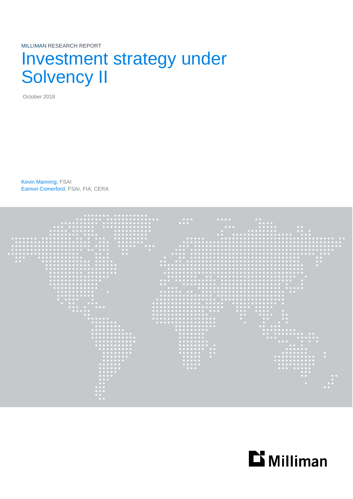MILLIMAN RESEARCH REPORT

# Investment strategy under Solvency II

October 2018

Kevin Manning, FSAI Eamon Comerford, FSAI, FIA, CERA



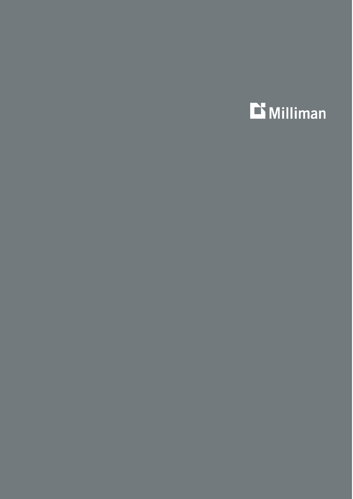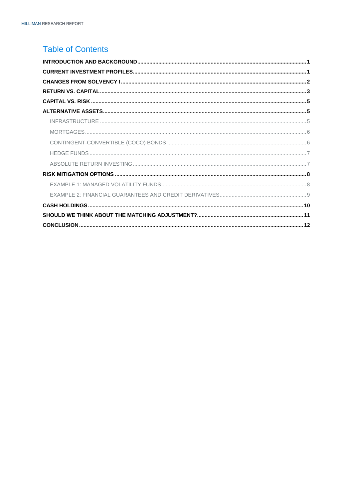### **Table of Contents**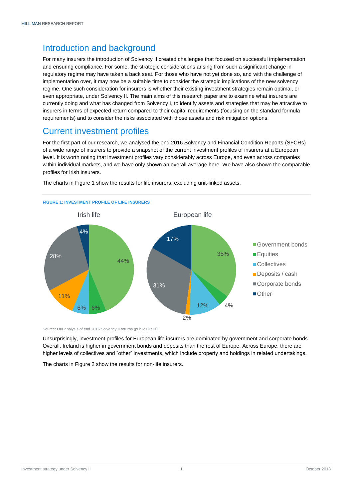### <span id="page-3-0"></span>Introduction and background

For many insurers the introduction of Solvency II created challenges that focused on successful implementation and ensuring compliance. For some, the strategic considerations arising from such a significant change in regulatory regime may have taken a back seat. For those who have not yet done so, and with the challenge of implementation over, it may now be a suitable time to consider the strategic implications of the new solvency regime. One such consideration for insurers is whether their existing investment strategies remain optimal, or even appropriate, under Solvency II. The main aims of this research paper are to examine what insurers are currently doing and what has changed from Solvency I, to identify assets and strategies that may be attractive to insurers in terms of expected return compared to their capital requirements (focusing on the standard formula requirements) and to consider the risks associated with those assets and risk mitigation options.

### <span id="page-3-1"></span>Current investment profiles

For the first part of our research, we analysed the end 2016 Solvency and Financial Condition Reports (SFCRs) of a wide range of insurers to provide a snapshot of the current investment profiles of insurers at a European level. It is worth noting that investment profiles vary considerably across Europe, and even across companies within individual markets, and we have only shown an overall average here. We have also shown the comparable profiles for Irish insurers.



The charts in Figure 1 show the results for life insurers, excluding unit-linked assets.

Source: Our analysis of end 2016 Solvency II returns (public QRTs)

Unsurprisingly, investment profiles for European life insurers are dominated by government and corporate bonds. Overall, Ireland is higher in government bonds and deposits than the rest of Europe. Across Europe, there are higher levels of collectives and "other" investments, which include property and holdings in related undertakings.

The charts in Figure 2 show the results for non-life insurers.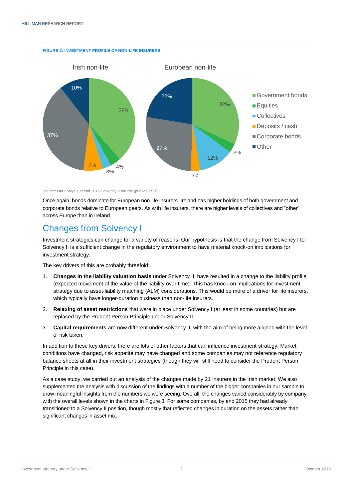

**FIGURE 2: INVESTMENT PROFILE OF NON-LIFE INSURERS**

Source: Our analysis of end 2016 Solvency II returns (public QRTs)

Once again, bonds dominate for European non-life insurers. Ireland has higher holdings of both government and corporate bonds relative to European peers. As with life insurers, there are higher levels of collectives and "other" across Europe than in Ireland.

### <span id="page-4-0"></span>Changes from Solvency I

Investment strategies can change for a variety of reasons. Our hypothesis is that the change from Solvency I to Solvency II is a sufficient change in the regulatory environment to have material knock-on implications for investment strategy.

The key drivers of this are probably threefold:

- 1. **Changes in the liability valuation basis** under Solvency II, have resulted in a change to the liability profile (expected movement of the value of the liability over time). This has knock-on implications for investment strategy due to asset-liability matching (ALM) considerations. This would be more of a driver for life insurers, which typically have longer-duration business than non-life insurers.
- 2. **Relaxing of asset restrictions** that were in place under Solvency I (at least in some countries) but are replaced by the Prudent Person Principle under Solvency II.
- 3. **Capital requirements** are now different under Solvency II, with the aim of being more aligned with the level of risk taken.

In addition to these key drivers, there are lots of other factors that can influence investment strategy. Market conditions have changed, risk appetite may have changed and some companies may not reference regulatory balance sheets at all in their investment strategies (though they will still need to consider the Prudent Person Principle in this case).

As a case study, we carried out an analysis of the changes made by 21 insurers in the Irish market. We also supplemented the analysis with discussion of the findings with a number of the bigger companies in our sample to draw meaningful insights from the numbers we were seeing. Overall, the changes varied considerably by company, with the overall levels shown in the charts in Figure 3. For some companies, by end 2015 they had already transitioned to a Solvency II position, though mostly that reflected changes in duration on the assets rather than significant changes in asset mix.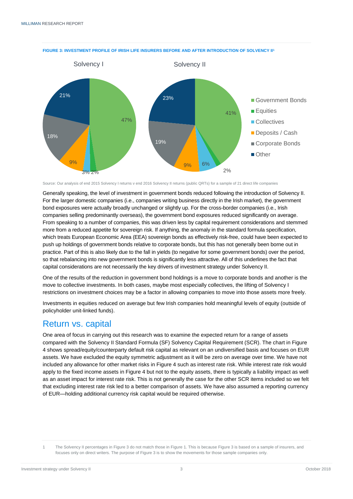

**FIGURE 3: INVESTMENT PROFILE OF IRISH LIFE INSURERS BEFORE AND AFTER INTRODUCTION OF SOLVENCY II<sup>1</sup>**

Source: Our analysis of end 2015 Solvency I returns v end 2016 Solvency II returns (public QRTs) for a sample of 21 direct life companies

Generally speaking, the level of investment in government bonds reduced following the introduction of Solvency II. For the larger domestic companies (i.e., companies writing business directly in the Irish market), the government bond exposures were actually broadly unchanged or slightly up. For the cross-border companies (i.e., Irish companies selling predominantly overseas), the government bond exposures reduced significantly on average. From speaking to a number of companies, this was driven less by capital requirement considerations and stemmed more from a reduced appetite for sovereign risk. If anything, the anomaly in the standard formula specification, which treats European Economic Area (EEA) sovereign bonds as effectively risk-free, could have been expected to push up holdings of government bonds relative to corporate bonds, but this has not generally been borne out in practice. Part of this is also likely due to the fall in yields (to negative for some government bonds) over the period, so that rebalancing into new government bonds is significantly less attractive. All of this underlines the fact that capital considerations are not necessarily the key drivers of investment strategy under Solvency II.

One of the results of the reduction in government bond holdings is a move to corporate bonds and another is the move to collective investments. In both cases, maybe most especially collectives, the lifting of Solvency I restrictions on investment choices may be a factor in allowing companies to move into those assets more freely.

Investments in equities reduced on average but few Irish companies hold meaningful levels of equity (outside of policyholder unit-linked funds).

### <span id="page-5-0"></span>Return vs. capital

One area of focus in carrying out this research was to examine the expected return for a range of assets compared with the Solvency II Standard Formula (SF) Solvency Capital Requirement (SCR). The chart in Figure 4 shows spread/equity/counterparty default risk capital as relevant on an undiversified basis and focuses on EUR assets. We have excluded the equity symmetric adjustment as it will be zero on average over time. We have not included any allowance for other market risks in Figure 4 such as interest rate risk. While interest rate risk would apply to the fixed income assets in Figure 4 but not to the equity assets, there is typically a liability impact as well as an asset impact for interest rate risk. This is not generally the case for the other SCR items included so we felt that excluding interest rate risk led to a better comparison of assets. We have also assumed a reporting currency of EUR—holding additional currency risk capital would be required otherwise.

<sup>1</sup> The Solvency II percentages in Figure 3 do not match those in Figure 1. This is because Figure 3 is based on a sample of insurers, and focuses only on direct writers. The purpose of Figure 3 is to show the movements for those sample companies only.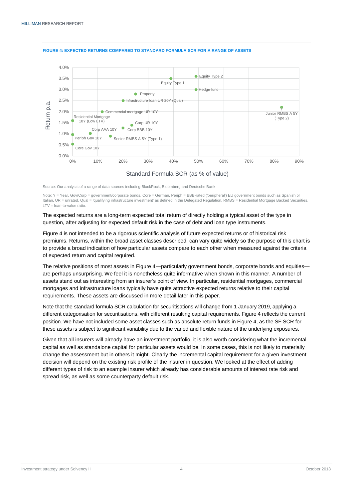

#### **FIGURE 4: EXPECTED RETURNS COMPARED TO STANDARD FORMULA SCR FOR A RANGE OF ASSETS**

Source: Our analysis of a range of data sources including BlackRock, Bloomberg and Deutsche Bank

Note: Y = Year, Gov/Corp = government/corporate bonds, Core = German, Periph = BBB-rated ('peripheral') EU government bonds such as Spanish or Italian, UR = unrated, Qual = 'qualifying infrastructure investment' as defined in the Delegated Regulation, RMBS = Residential Mortgage Backed Securities, LTV = loan-to-value ratio.

The expected returns are a long-term expected total return of directly holding a typical asset of the type in question, after adjusting for expected default risk in the case of debt and loan type instruments.

Figure 4 is not intended to be a rigorous scientific analysis of future expected returns or of historical risk premiums. Returns, within the broad asset classes described, can vary quite widely so the purpose of this chart is to provide a broad indication of how particular assets compare to each other when measured against the criteria of expected return and capital required.

The relative positions of most assets in Figure 4—particularly government bonds, corporate bonds and equities are perhaps unsurprising. We feel it is nonetheless quite informative when shown in this manner. A number of assets stand out as interesting from an insurer's point of view. In particular, residential mortgages, commercial mortgages and infrastructure loans typically have quite attractive expected returns relative to their capital requirements. These assets are discussed in more detail later in this paper.

Note that the standard formula SCR calculation for securitisations will change from 1 January 2019, applying a different categorisation for securitisations, with different resulting capital requirements. Figure 4 reflects the current position. We have not included some asset classes such as absolute return funds in Figure 4, as the SF SCR for these assets is subject to significant variability due to the varied and flexible nature of the underlying exposures.

Given that all insurers will already have an investment portfolio, it is also worth considering what the incremental capital as well as standalone capital for particular assets would be. In some cases, this is not likely to materially change the assessment but in others it might. Clearly the incremental capital requirement for a given investment decision will depend on the existing risk profile of the insurer in question. We looked at the effect of adding different types of risk to an example insurer which already has considerable amounts of interest rate risk and spread risk, as well as some counterparty default risk.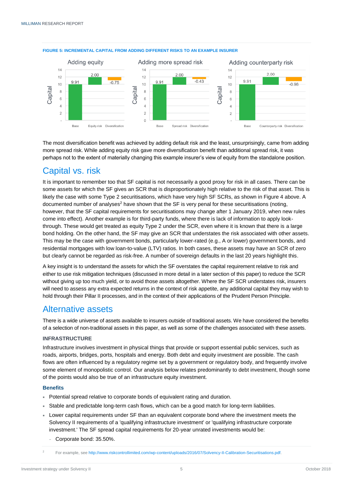

#### **FIGURE 5: INCREMENTAL CAPITAL FROM ADDING DIFFERENT RISKS TO AN EXAMPLE INSURER**

The most diversification benefit was achieved by adding default risk and the least, unsurprisingly, came from adding more spread risk. While adding equity risk gave more diversification benefit than additional spread risk, it was perhaps not to the extent of materially changing this example insurer's view of equity from the standalone position.

### <span id="page-7-0"></span>Capital vs. risk

It is important to remember too that SF capital is not necessarily a good proxy for risk in all cases. There can be some assets for which the SF gives an SCR that is disproportionately high relative to the risk of that asset. This is likely the case with some Type 2 securitisations, which have very high SF SCRs, as shown in Figure 4 above. A documented number of analyses<sup>2</sup> have shown that the SF is very penal for these securitisations (noting, however, that the SF capital requirements for securitisations may change after 1 January 2019, when new rules come into effect). Another example is for third-party funds, where there is lack of information to apply lookthrough. These would get treated as equity Type 2 under the SCR, even where it is known that there is a large bond holding. On the other hand, the SF may give an SCR that understates the risk associated with other assets. This may be the case with government bonds, particularly lower-rated (e.g., A or lower) government bonds, and residential mortgages with low loan-to-value (LTV) ratios. In both cases, these assets may have an SCR of zero but clearly cannot be regarded as risk-free. A number of sovereign defaults in the last 20 years highlight this.

A key insight is to understand the assets for which the SF overstates the capital requirement relative to risk and either to use risk mitigation techniques (discussed in more detail in a later section of this paper) to reduce the SCR without giving up too much yield, or to avoid those assets altogether. Where the SF SCR understates risk, insurers will need to assess any extra expected returns in the context of risk appetite, any additional capital they may wish to hold through their Pillar II processes, and in the context of their applications of the Prudent Person Principle.

### <span id="page-7-1"></span>Alternative assets

There is a wide universe of assets available to insurers outside of traditional assets. We have considered the benefits of a selection of non-traditional assets in this paper, as well as some of the challenges associated with these assets.

#### <span id="page-7-2"></span>**INFRASTRUCTURE**

Infrastructure involves investment in physical things that provide or support essential public services, such as roads, airports, bridges, ports, hospitals and energy. Both debt and equity investment are possible. The cash flows are often influenced by a regulatory regime set by a government or regulatory body, and frequently involve some element of monopolistic control. Our analysis below relates predominantly to debt investment, though some of the points would also be true of an infrastructure equity investment.

#### **Benefits**

- Potential spread relative to corporate bonds of equivalent rating and duration.
- Stable and predictable long-term cash flows, which can be a good match for long-term liabilities.
- Lower capital requirements under SF than an equivalent corporate bond where the investment meets the Solvency II requirements of a 'qualifying infrastructure investment' or 'qualifying infrastructure corporate investment.' The SF spread capital requirements for 20-year unrated investments would be:
	- <sup>−</sup> Corporate bond: 35.50%.

<sup>2</sup> For example, se[e http://www.riskcontrollimited.com/wp-content/uploads/2016/07/Solvency-II-Calibration-Securitisations.pdf.](http://www.riskcontrollimited.com/wp-content/uploads/2016/07/Solvency-II-Calibration-Securitisations.pdf)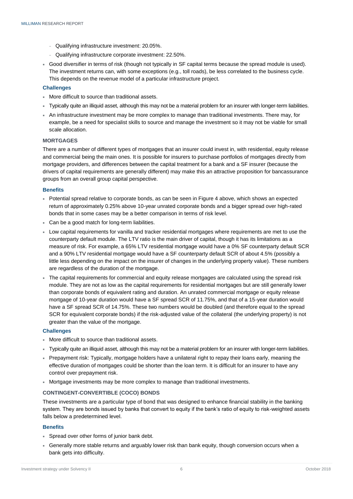- <sup>−</sup> Qualifying infrastructure investment: 20.05%.
- <sup>−</sup> Qualifying infrastructure corporate investment: 22.50%.
- Good diversifier in terms of risk (though not typically in SF capital terms because the spread module is used). The investment returns can, with some exceptions (e.g., toll roads), be less correlated to the business cycle. This depends on the revenue model of a particular infrastructure project.

#### **Challenges**

- More difficult to source than traditional assets.
- Typically quite an illiquid asset, although this may not be a material problem for an insurer with longer-term liabilities.
- An infrastructure investment may be more complex to manage than traditional investments. There may, for example, be a need for specialist skills to source and manage the investment so it may not be viable for small scale allocation.

#### <span id="page-8-0"></span>**MORTGAGES**

There are a number of different types of mortgages that an insurer could invest in, with residential, equity release and commercial being the main ones. It is possible for insurers to purchase portfolios of mortgages directly from mortgage providers, and differences between the capital treatment for a bank and a SF insurer (because the drivers of capital requirements are generally different) may make this an attractive proposition for bancassurance groups from an overall group capital perspective.

#### **Benefits**

- Potential spread relative to corporate bonds, as can be seen in Figure 4 above, which shows an expected return of approximately 0.25% above 10-year unrated corporate bonds and a bigger spread over high-rated bonds that in some cases may be a better comparison in terms of risk level.
- Can be a good match for long-term liabilities.
- Low capital requirements for vanilla and tracker residential mortgages where requirements are met to use the counterparty default module. The LTV ratio is the main driver of capital, though it has its limitations as a measure of risk. For example, a 65% LTV residential mortgage would have a 0% SF counterparty default SCR and a 90% LTV residential mortgage would have a SF counterparty default SCR of about 4.5% (possibly a little less depending on the impact on the insurer of changes in the underlying property value). These numbers are regardless of the duration of the mortgage.
- The capital requirements for commercial and equity release mortgages are calculated using the spread risk module. They are not as low as the capital requirements for residential mortgages but are still generally lower than corporate bonds of equivalent rating and duration. An unrated commercial mortgage or equity release mortgage of 10-year duration would have a SF spread SCR of 11.75%, and that of a 15-year duration would have a SF spread SCR of 14.75%. These two numbers would be doubled (and therefore equal to the spread SCR for equivalent corporate bonds) if the risk-adjusted value of the collateral (the underlying property) is not greater than the value of the mortgage.

#### **Challenges**

- More difficult to source than traditional assets.
- Typically quite an illiquid asset, although this may not be a material problem for an insurer with longer-term liabilities.
- Prepayment risk: Typically, mortgage holders have a unilateral right to repay their loans early, meaning the effective duration of mortgages could be shorter than the loan term. It is difficult for an insurer to have any control over prepayment risk.
- Mortgage investments may be more complex to manage than traditional investments.

#### <span id="page-8-1"></span>**CONTINGENT-CONVERTIBLE (COCO) BONDS**

These investments are a particular type of bond that was designed to enhance financial stability in the banking system. They are bonds issued by banks that convert to equity if the bank's ratio of equity to risk-weighted assets falls below a predetermined level.

#### **Benefits**

- Spread over other forms of junior bank debt.
- Generally more stable returns and arguably lower risk than bank equity, though conversion occurs when a bank gets into difficulty.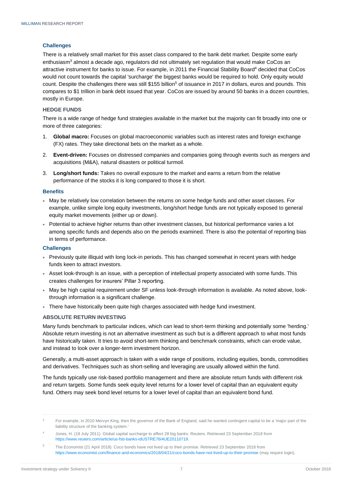#### **Challenges**

There is a relatively small market for this asset class compared to the bank debt market. Despite some early enthusiasm<sup>3</sup> almost a decade ago, regulators did not ultimately set regulation that would make CoCos an attractive instrument for banks to issue. For example, in 2011 the Financial Stability Board<sup>4</sup> decided that CoCos would not count towards the capital 'surcharge' the biggest banks would be required to hold. Only equity would count. Despite the challenges there was still \$155 billion<sup>5</sup> of issuance in 2017 in dollars, euros and pounds. This compares to \$1 trillion in bank debt issued that year. CoCos are issued by around 50 banks in a dozen countries, mostly in Europe.

#### <span id="page-9-0"></span>**HEDGE FUNDS**

There is a wide range of hedge fund strategies available in the market but the majority can fit broadly into one or more of three categories:

- 1. **Global macro:** Focuses on global macroeconomic variables such as interest rates and foreign exchange (FX) rates. They take directional bets on the market as a whole.
- 2. **Event-driven:** Focuses on distressed companies and companies going through events such as mergers and acquisitions (M&A), natural disasters or political turmoil.
- 3. **Long/short funds:** Takes no overall exposure to the market and earns a return from the relative performance of the stocks it is long compared to those it is short.

#### **Benefits**

- May be relatively low correlation between the returns on some hedge funds and other asset classes. For example, unlike simple long equity investments, long/short hedge funds are not typically exposed to general equity market movements (either up or down).
- Potential to achieve higher returns than other investment classes, but historical performance varies a lot among specific funds and depends also on the periods examined. There is also the potential of reporting bias in terms of performance.

#### **Challenges**

- Previously quite illiquid with long lock-in periods. This has changed somewhat in recent years with hedge funds keen to attract investors.
- Asset look-through is an issue, with a perception of intellectual property associated with some funds. This creates challenges for insurers' Pillar 3 reporting.
- May be high capital requirement under SF unless look-through information is available. As noted above, lookthrough information is a significant challenge.
- There have historically been quite high charges associated with hedge fund investment.

#### <span id="page-9-1"></span>**ABSOLUTE RETURN INVESTING**

Many funds benchmark to particular indices, which can lead to short-term thinking and potentially some 'herding.' Absolute return investing is not an alternative investment as such but is a different approach to what most funds have historically taken. It tries to avoid short-term thinking and benchmark constraints, which can erode value, and instead to look over a longer-term investment horizon.

Generally, a multi-asset approach is taken with a wide range of positions, including equities, bonds, commodities and derivatives. Techniques such as short-selling and leveraging are usually allowed within the fund.

The funds typically use risk-based portfolio management and there are absolute return funds with different risk and return targets. Some funds seek equity level returns for a lower level of capital than an equivalent equity fund. Others may seek bond level returns for a lower level of capital than an equivalent bond fund.

<sup>&</sup>lt;sup>3</sup> For example, in 2010 Mervyn King, then the governor of the Bank of England, said he wanted contingent capital to be a 'major part of the liability structure of the banking system.'

Jones, H. (19 July 2011). Global capital surcharge to affect 28 big banks. Reuters. Retrieved 23 September 2018 from [https://www.reuters.com/article/us-fsb-banks-idUSTRE76I4UE20110719.](https://www.reuters.com/article/us-fsb-banks-idUSTRE76I4UE20110719)

<sup>&</sup>lt;sup>5</sup> The Economist (21 April 2018). Coco bonds have not lived up to their promise. Retrieved 23 September 2018 from <https://www.economist.com/finance-and-economics/2018/04/21/coco-bonds-have-not-lived-up-to-their-promise> (may require login).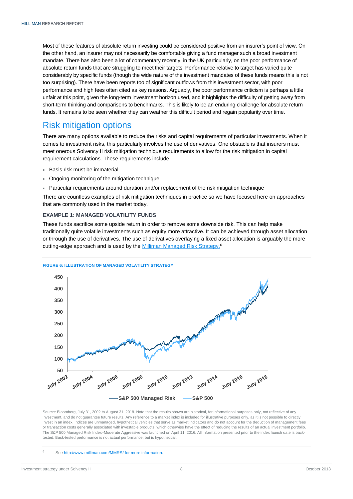Most of these features of absolute return investing could be considered positive from an insurer's point of view. On the other hand, an insurer may not necessarily be comfortable giving a fund manager such a broad investment mandate. There has also been a lot of commentary recently, in the UK particularly, on the poor performance of absolute return funds that are struggling to meet their targets. Performance relative to target has varied quite considerably by specific funds (though the wide nature of the investment mandates of these funds means this is not too surprising). There have been reports too of significant outflows from this investment sector, with poor performance and high fees often cited as key reasons. Arguably, the poor performance criticism is perhaps a little unfair at this point, given the long-term investment horizon used, and it highlights the difficulty of getting away from short-term thinking and comparisons to benchmarks. This is likely to be an enduring challenge for absolute return funds. It remains to be seen whether they can weather this difficult period and regain popularity over time.

### <span id="page-10-0"></span>Risk mitigation options

There are many options available to reduce the risks and capital requirements of particular investments. When it comes to investment risks, this particularly involves the use of derivatives. One obstacle is that insurers must meet onerous Solvency II risk mitigation technique requirements to allow for the risk mitigation in capital requirement calculations. These requirements include:

- Basis risk must be immaterial
- Ongoing monitoring of the mitigation technique
- Particular requirements around duration and/or replacement of the risk mitigation technique

There are countless examples of risk mitigation techniques in practice so we have focused here on approaches that are commonly used in the market today.

#### <span id="page-10-1"></span>**EXAMPLE 1: MANAGED VOLATILITY FUNDS**

These funds sacrifice some upside return in order to remove some downside risk. This can help make traditionally quite volatile investments such as equity more attractive. It can be achieved through asset allocation or through the use of derivatives. The use of derivatives overlaying a fixed asset allocation is arguably the more cutting-edge approach and is used by th[e Milliman Managed Risk](http://www.milliman.com/MMRS/) Strategy.<sup>6</sup>

#### **FIGURE 6: ILLUSTRATION OF MANAGED VOLATILITY STRATEGY**



Source: Bloomberg, July 31, 2002 to August 31, 2018. Note that the results shown are historical, for informational purposes only, not reflective of any investment, and do not guarantee future results. Any reference to a market index is included for illustrative purposes only, as it is not possible to directly invest in an index. Indices are unmanaged, hypothetical vehicles that serve as market indicators and do not account for the deduction of management fees or transaction costs generally associated with investable products, which otherwise have the effect of reducing the results of an actual investment portfolio. The S&P 500 Managed Risk Index–Moderate Aggressive was launched on April 11, 2016. All information presented prior to the index launch date is backtested. Back-tested performance is not actual performance, but is hypothetical.

Se[e http://www.milliman.com/MMRS/](http://www.milliman.com/MMRS/) for more information.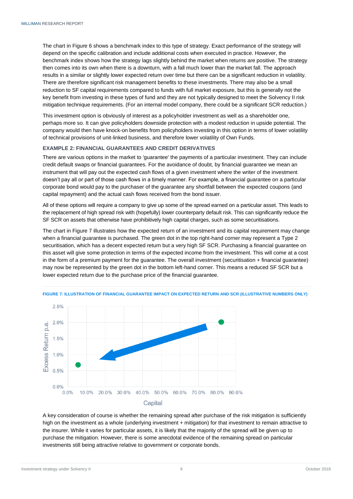The chart in Figure 6 shows a benchmark index to this type of strategy. Exact performance of the strategy will depend on the specific calibration and include additional costs when executed in practice. However, the benchmark index shows how the strategy lags slightly behind the market when returns are positive. The strategy then comes into its own when there is a downturn, with a fall much lower than the market fall. The approach results in a similar or slightly lower expected return over time but there can be a significant reduction in volatility. There are therefore significant risk management benefits to these investments. There may also be a small reduction to SF capital requirements compared to funds with full market exposure, but this is generally not the key benefit from investing in these types of fund and they are not typically designed to meet the Solvency II risk mitigation technique requirements. (For an internal model company, there could be a significant SCR reduction.)

This investment option is obviously of interest as a policyholder investment as well as a shareholder one, perhaps more so. It can give policyholders downside protection with a modest reduction in upside potential. The company would then have knock-on benefits from policyholders investing in this option in terms of lower volatility of technical provisions of unit-linked business, and therefore lower volatility of Own Funds.

#### <span id="page-11-0"></span>**EXAMPLE 2: FINANCIAL GUARANTEES AND CREDIT DERIVATIVES**

There are various options in the market to 'guarantee' the payments of a particular investment. They can include credit default swaps or financial guarantees. For the avoidance of doubt, by financial guarantee we mean an instrument that will pay out the expected cash flows of a given investment where the writer of the investment doesn't pay all or part of those cash flows in a timely manner. For example, a financial guarantee on a particular corporate bond would pay to the purchaser of the guarantee any shortfall between the expected coupons (and capital repayment) and the actual cash flows received from the bond issuer.

All of these options will require a company to give up some of the spread earned on a particular asset. This leads to the replacement of high spread risk with (hopefully) lower counterparty default risk. This can significantly reduce the SF SCR on assets that otherwise have prohibitively high capital charges, such as some securitisations.

The chart in Figure 7 illustrates how the expected return of an investment and its capital requirement may change when a financial guarantee is purchased. The green dot in the top right-hand corner may represent a Type 2 securitisation, which has a decent expected return but a very high SF SCR. Purchasing a financial guarantee on this asset will give some protection in terms of the expected income from the investment. This will come at a cost in the form of a premium payment for the guarantee. The overall investment (securitisation + financial guarantee) may now be represented by the green dot in the bottom left-hand corner. This means a reduced SF SCR but a lower expected return due to the purchase price of the financial guarantee.



**FIGURE 7: ILLUSTRATION OF FINANCIAL GUARANTEE IMPACT ON EXPECTED RETURN AND SCR (ILLUSTRATIVE NUMBERS ONLY)**

A key consideration of course is whether the remaining spread after purchase of the risk mitigation is sufficiently high on the investment as a whole (underlying investment + mitigation) for that investment to remain attractive to the insurer. While it varies for particular assets, it is likely that the majority of the spread will be given up to purchase the mitigation. However, there is some anecdotal evidence of the remaining spread on particular investments still being attractive relative to government or corporate bonds.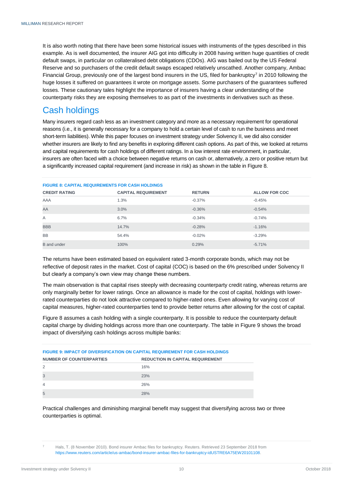It is also worth noting that there have been some historical issues with instruments of the types described in this example. As is well documented, the insurer AIG got into difficulty in 2008 having written huge quantities of credit default swaps, in particular on collateralised debt obligations (CDOs). AIG was bailed out by the US Federal Reserve and so purchasers of the credit default swaps escaped relatively unscathed. Another company, Ambac Financial Group, previously one of the largest bond insurers in the US, filed for bankruptcy<sup>7</sup> in 2010 following the huge losses it suffered on guarantees it wrote on mortgage assets. Some purchasers of the guarantees suffered losses. These cautionary tales highlight the importance of insurers having a clear understanding of the counterparty risks they are exposing themselves to as part of the investments in derivatives such as these.

### <span id="page-12-0"></span>Cash holdings

Many insurers regard cash less as an investment category and more as a necessary requirement for operational reasons (i.e., it is generally necessary for a company to hold a certain level of cash to run the business and meet short-term liabilities). While this paper focuses on investment strategy under Solvency II, we did also consider whether insurers are likely to find any benefits in exploring different cash options. As part of this, we looked at returns and capital requirements for cash holdings of different ratings. In a low interest rate environment, in particular, insurers are often faced with a choice between negative returns on cash or, alternatively, a zero or positive return but a significantly increased capital requirement (and increase in risk) as shown in the table in Figure 8.

| <b>FIGURE 8: CAPITAL REQUIREMENTS FOR CASH HOLDINGS</b> |                            |               |                      |  |
|---------------------------------------------------------|----------------------------|---------------|----------------------|--|
| <b>CREDIT RATING</b>                                    | <b>CAPITAL REQUIREMENT</b> | <b>RETURN</b> | <b>ALLOW FOR COC</b> |  |
| AAA                                                     | 1.3%                       | $-0.37%$      | $-0.45%$             |  |
| AA                                                      | 3.0%                       | $-0.36%$      | $-0.54%$             |  |
| A                                                       | 6.7%                       | $-0.34%$      | $-0.74%$             |  |
| <b>BBB</b>                                              | 14.7%                      | $-0.28%$      | $-1.16%$             |  |
| <b>BB</b>                                               | 54.4%                      | $-0.02%$      | $-3.29%$             |  |
| <b>B</b> and under                                      | 100%                       | 0.29%         | $-5.71%$             |  |

The returns have been estimated based on equivalent rated 3-month corporate bonds, which may not be reflective of deposit rates in the market. Cost of capital (COC) is based on the 6% prescribed under Solvency II but clearly a company's own view may change these numbers.

The main observation is that capital rises steeply with decreasing counterparty credit rating, whereas returns are only marginally better for lower ratings. Once an allowance is made for the cost of capital, holdings with lowerrated counterparties do not look attractive compared to higher-rated ones. Even allowing for varying cost of capital measures, higher-rated counterparties tend to provide better returns after allowing for the cost of capital.

Figure 8 assumes a cash holding with a single counterparty. It is possible to reduce the counterparty default capital charge by dividing holdings across more than one counterparty. The table in Figure 9 shows the broad impact of diversifying cash holdings across multiple banks:

| <b>FIGURE 9: IMPACT OF DIVERSIFICATION ON CAPITAL REQUIREMENT FOR CASH HOLDINGS</b> |                                         |  |  |  |  |
|-------------------------------------------------------------------------------------|-----------------------------------------|--|--|--|--|
| <b>NUMBER OF COUNTERPARTIES</b>                                                     | <b>REDUCTION IN CAPITAL REQUIREMENT</b> |  |  |  |  |
| 2                                                                                   | 16%                                     |  |  |  |  |
| 3                                                                                   | 23%                                     |  |  |  |  |
| $\overline{4}$                                                                      | 26%                                     |  |  |  |  |
| 5                                                                                   | 28%                                     |  |  |  |  |

Practical challenges and diminishing marginal benefit may suggest that diversifying across two or three counterparties is optimal.

Hals, T. (8 November 2010). Bond insurer Ambac files for bankruptcy. Reuters. Retrieved 23 September 2018 from [https://www.reuters.com/article/us-ambac/bond-insurer-ambac-files-for-bankruptcy-idUSTRE6A75EW20101108.](https://www.reuters.com/article/us-ambac/bond-insurer-ambac-files-for-bankruptcy-idUSTRE6A75EW20101108)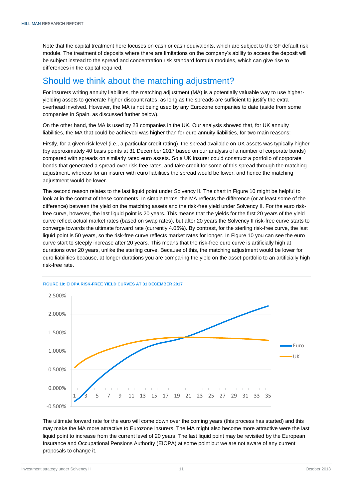Note that the capital treatment here focuses on cash or cash equivalents, which are subject to the SF default risk module. The treatment of deposits where there are limitations on the company's ability to access the deposit will be subject instead to the spread and concentration risk standard formula modules, which can give rise to differences in the capital required.

### <span id="page-13-0"></span>Should we think about the matching adjustment?

For insurers writing annuity liabilities, the matching adjustment (MA) is a potentially valuable way to use higheryielding assets to generate higher discount rates, as long as the spreads are sufficient to justify the extra overhead involved. However, the MA is not being used by any Eurozone companies to date (aside from some companies in Spain, as discussed further below).

On the other hand, the MA is used by 23 companies in the UK. Our analysis showed that, for UK annuity liabilities, the MA that could be achieved was higher than for euro annuity liabilities, for two main reasons:

Firstly, for a given risk level (i.e., a particular credit rating), the spread available on UK assets was typically higher (by approximately 40 basis points at 31 December 2017 based on our analysis of a number of corporate bonds) compared with spreads on similarly rated euro assets. So a UK insurer could construct a portfolio of corporate bonds that generated a spread over risk-free rates, and take credit for some of this spread through the matching adjustment, whereas for an insurer with euro liabilities the spread would be lower, and hence the matching adjustment would be lower.

The second reason relates to the last liquid point under Solvency II. The chart in Figure 10 might be helpful to look at in the context of these comments. In simple terms, the MA reflects the difference (or at least some of the difference) between the yield on the matching assets and the risk-free yield under Solvency II. For the euro riskfree curve, however, the last liquid point is 20 years. This means that the yields for the first 20 years of the yield curve reflect actual market rates (based on swap rates), but after 20 years the Solvency II risk-free curve starts to converge towards the ultimate forward rate (currently 4.05%). By contrast, for the sterling risk-free curve, the last liquid point is 50 years, so the risk-free curve reflects market rates for longer. In Figure 10 you can see the euro curve start to steeply increase after 20 years. This means that the risk-free euro curve is artificially high at durations over 20 years, unlike the sterling curve. Because of this, the matching adjustment would be lower for euro liabilities because, at longer durations you are comparing the yield on the asset portfolio to an artificially high risk-free rate.



#### **FIGURE 10: EIOPA RISK-FREE YIELD CURVES AT 31 DECEMBER 2017**

The ultimate forward rate for the euro will come down over the coming years (this process has started) and this may make the MA more attractive to Eurozone insurers. The MA might also become more attractive were the last liquid point to increase from the current level of 20 years. The last liquid point may be revisited by the European Insurance and Occupational Pensions Authority (EIOPA) at some point but we are not aware of any current proposals to change it.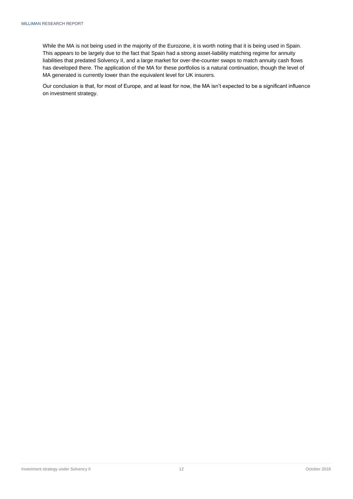While the MA is not being used in the majority of the Eurozone, it is worth noting that it is being used in Spain. This appears to be largely due to the fact that Spain had a strong asset-liability matching regime for annuity liabilities that predated Solvency II, and a large market for over-the-counter swaps to match annuity cash flows has developed there. The application of the MA for these portfolios is a natural continuation, though the level of MA generated is currently lower than the equivalent level for UK insurers.

Our conclusion is that, for most of Europe, and at least for now, the MA isn't expected to be a significant influence on investment strategy.